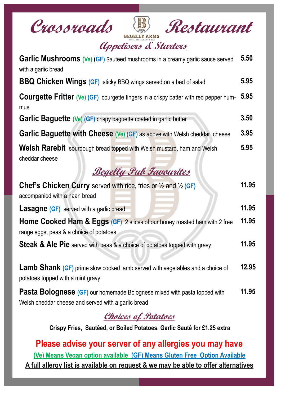

| Garlic Mushrooms (Ve) (GF) Sauteed mushrooms in a creamy garlic sauce served<br>with a garlic bread                                    | 5.50  |  |  |  |
|----------------------------------------------------------------------------------------------------------------------------------------|-------|--|--|--|
| <b>BBQ Chicken Wings (GF)</b> sticky BBQ wings served on a bed of salad                                                                | 5.95  |  |  |  |
| <b>Courgette Fritter (Ve) (GF)</b> courgette fingers in a crispy batter with red pepper hum-<br>mus                                    | 5.95  |  |  |  |
| <b>Garlic Baguette (Ve) (GF)</b> crispy baguette coated in garlic butter                                                               | 3.50  |  |  |  |
| 3.95<br><b>Garlic Baguette with Cheese (Ve) (GF) as above with Welsh cheddar cheese</b>                                                |       |  |  |  |
| <b>Welsh Rarebit</b> sourdough bread topped with Welsh mustard, ham and Welsh<br>cheddar cheese                                        | 5.95  |  |  |  |
| <b>Begelly Pul Favourites</b>                                                                                                          |       |  |  |  |
| <b>Chef's Chicken Curry</b> served with rice, fries or $\frac{1}{2}$ and $\frac{1}{2}$ (GF)<br>accompanied with a naan bread           | 11.95 |  |  |  |
| 11.95<br><b>Lasagne (GF)</b> served with a garlic bread                                                                                |       |  |  |  |
| <b>Home Cooked Ham &amp; Eggs (GF)</b> 2 slices of our honey roasted ham with 2 free<br>range eggs, peas & a choice of potatoes        | 11.95 |  |  |  |
| Steak & Ale Pie served with peas & a choice of potatoes topped with gravy                                                              | 11.95 |  |  |  |
| <b>Lamb Shank (GF)</b> prime slow cooked lamb served with vegetables and a choice of<br>potatoes topped with a mint gravy              | 12.95 |  |  |  |
| <b>Pasta Bolognese (GF)</b> our homemade Bolognese mixed with pasta topped with<br>Welsh cheddar cheese and served with a garlic bread | 11.95 |  |  |  |

## **Choices of Potatoes**

**Crispy Fries, Sautéed, or Boiled Potatoes. Garlic Sauté for £1.25 extra**

**Please advise your server of any allergies you may have (Ve) Means Vegan option available (GF) Means Gluten Free Option Available A full allergy list is available on request & we may be able to offer alternatives**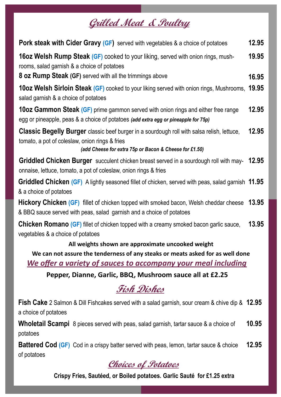# **Grilled Meat & Poultry**

| <b>Pork steak with Cider Gravy (GF)</b> served with vegetables & a choice of potatoes                                                                                                                         | 12.95 |
|---------------------------------------------------------------------------------------------------------------------------------------------------------------------------------------------------------------|-------|
| <b>16oz Welsh Rump Steak (GF)</b> cooked to your liking, served with onion rings, mush-<br>rooms, salad garnish & a choice of potatoes                                                                        | 19.95 |
| <b>8 oz Rump Steak (GF)</b> served with all the trimmings above                                                                                                                                               | 16.95 |
| <b>10oz Welsh Sirloin Steak (GF)</b> cooked to your liking served with onion rings, Mushrooms,<br>salad garnish & a choice of potatoes                                                                        | 19.95 |
| 10oz Gammon Steak (GF) prime gammon served with onion rings and either free range<br>egg or pineapple, peas & a choice of potatoes (add extra egg or pineapple for 75p)                                       | 12.95 |
| <b>Classic Begelly Burger</b> classic beef burger in a sourdough roll with salsa relish, lettuce,<br>tomato, a pot of coleslaw, onion rings & fries<br>(add Cheese for extra 75p or Bacon & Cheese for £1.50) | 12.95 |
|                                                                                                                                                                                                               |       |
| <b>Griddled Chicken Burger</b> succulent chicken breast served in a sourdough roll with may- 12.95<br>onnaise, lettuce, tomato, a pot of coleslaw, onion rings & fries                                        |       |
| Griddled Chicken (GF) A lightly seasoned fillet of chicken, served with peas, salad garnish 11.95<br>& a choice of potatoes                                                                                   |       |
| <b>Hickory Chicken (GF)</b> fillet of chicken topped with smoked bacon, Welsh cheddar cheese<br>& BBQ sauce served with peas, salad garnish and a choice of potatoes                                          | 13.95 |
| <b>Chicken Romano (GF)</b> fillet of chicken topped with a creamy smoked bacon garlic sauce,<br>vegetables & a choice of potatoes                                                                             | 13.95 |
| All weights shown are approximate uncooked weight                                                                                                                                                             |       |
| We can not assure the tenderness of any steaks or meats asked for as well done                                                                                                                                |       |
| We offer a variety of sauces to accompany your meal including                                                                                                                                                 |       |
| Pepper, Dianne, Garlic, BBQ, Mushroom sauce all at £2.25                                                                                                                                                      |       |
| Fish Dishes                                                                                                                                                                                                   |       |
| <b>Fish Cake</b> 2 Salmon & Dill Fishcakes served with a salad garnish, sour cream & chive dip & 12.95                                                                                                        |       |

a choice of potatoes

**Wholetail Scampi** 8 pieces served with peas, salad garnish, tartar sauce & a choice of potatoes **10.95**

**Battered Cod (GF)** Cod in a crispy batter served with peas, lemon, tartar sauce & choice of potatoes **12.95**

#### **Choices of Potatoes**

**Crispy Fries, Sautéed, or Boiled potatoes. Garlic Sauté for £1.25 extra**